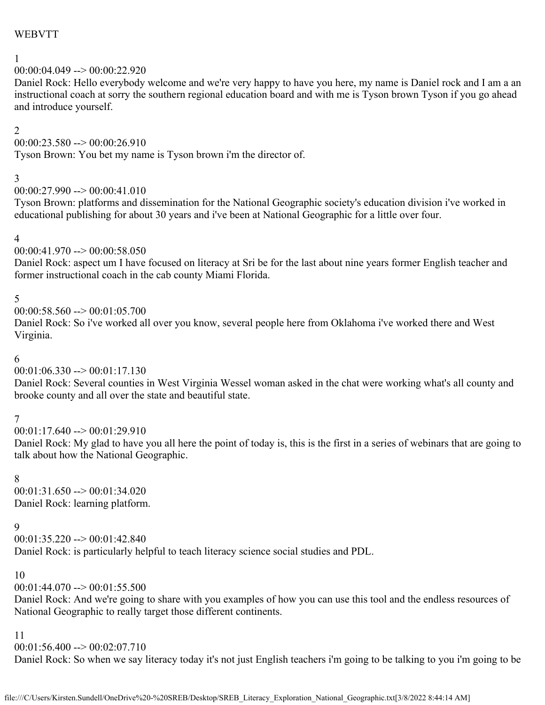### WEBVTT

# 1

00:00:04.049 --> 00:00:22.920

Daniel Rock: Hello everybody welcome and we're very happy to have you here, my name is Daniel rock and I am a an instructional coach at sorry the southern regional education board and with me is Tyson brown Tyson if you go ahead and introduce yourself.

### 2

 $00:00:23.580 \rightarrow 00:00:26.910$ 

Tyson Brown: You bet my name is Tyson brown i'm the director of.

### 3

 $00:00:27.990 \rightarrow 00:00:41.010$ 

Tyson Brown: platforms and dissemination for the National Geographic society's education division i've worked in educational publishing for about 30 years and i've been at National Geographic for a little over four.

### 4

 $00:00:41.970 \rightarrow 00:00:58.050$ 

Daniel Rock: aspect um I have focused on literacy at Sri be for the last about nine years former English teacher and former instructional coach in the cab county Miami Florida.

### 5

 $00:00:58.560 \rightarrow 00:01:05.700$ 

Daniel Rock: So i've worked all over you know, several people here from Oklahoma i've worked there and West Virginia.

### 6

 $00:01:06.330 \rightarrow 00:01:17.130$ 

Daniel Rock: Several counties in West Virginia Wessel woman asked in the chat were working what's all county and brooke county and all over the state and beautiful state.

# 7

 $00:01:17.640 \rightarrow 00:01:29.910$ 

Daniel Rock: My glad to have you all here the point of today is, this is the first in a series of webinars that are going to talk about how the National Geographic.

# 8

 $00:01:31.650 \rightarrow 00:01:34.020$ Daniel Rock: learning platform.

# 9

00:01:35.220 --> 00:01:42.840 Daniel Rock: is particularly helpful to teach literacy science social studies and PDL.

# 10

 $00:01:44.070 \rightarrow 00:01:55.500$ 

Daniel Rock: And we're going to share with you examples of how you can use this tool and the endless resources of National Geographic to really target those different continents.

### 11

 $00:01:56.400 \rightarrow 00:02:07.710$ 

Daniel Rock: So when we say literacy today it's not just English teachers i'm going to be talking to you i'm going to be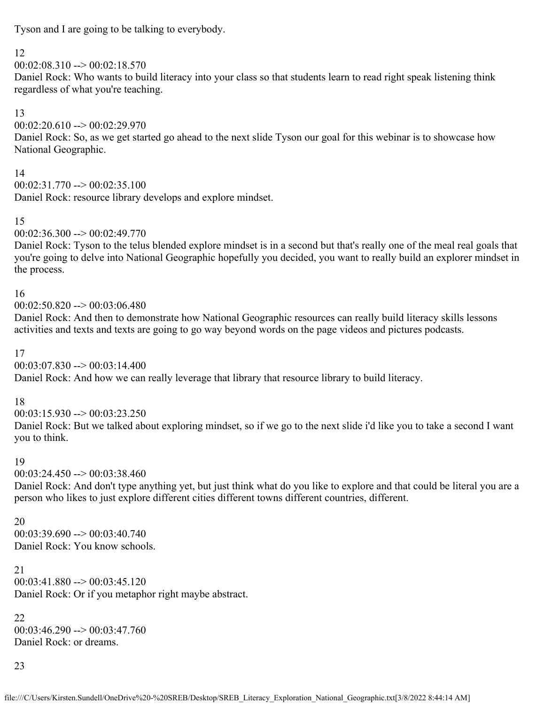Tyson and I are going to be talking to everybody.

# 12

 $00:02:08.310 \rightarrow 00:02:18.570$ 

Daniel Rock: Who wants to build literacy into your class so that students learn to read right speak listening think regardless of what you're teaching.

# 13

00:02:20.610 --> 00:02:29.970

Daniel Rock: So, as we get started go ahead to the next slide Tyson our goal for this webinar is to showcase how National Geographic.

# 14

 $00:02:31.770 \rightarrow 00:02:35.100$ Daniel Rock: resource library develops and explore mindset.

# 15

 $00:02:36.300 \rightarrow 00:02:49.770$ 

Daniel Rock: Tyson to the telus blended explore mindset is in a second but that's really one of the meal real goals that you're going to delve into National Geographic hopefully you decided, you want to really build an explorer mindset in the process.

# 16

 $00:02:50.820 \rightarrow 00:03:06.480$ 

Daniel Rock: And then to demonstrate how National Geographic resources can really build literacy skills lessons activities and texts and texts are going to go way beyond words on the page videos and pictures podcasts.

# 17

 $00:03:07.830 \rightarrow 00:03:14.400$ 

Daniel Rock: And how we can really leverage that library that resource library to build literacy.

# 18

 $00:03:15.930 \rightarrow 00:03:23.250$ 

Daniel Rock: But we talked about exploring mindset, so if we go to the next slide i'd like you to take a second I want you to think.

# 19

 $00:03:24.450 \rightarrow 00:03:38.460$ 

Daniel Rock: And don't type anything yet, but just think what do you like to explore and that could be literal you are a person who likes to just explore different cities different towns different countries, different.

# 20

 $00:03:39.690 \rightarrow 00:03:40.740$ Daniel Rock: You know schools.

21 00:03:41.880 --> 00:03:45.120 Daniel Rock: Or if you metaphor right maybe abstract.

# 22  $00:03:46.290 \rightarrow 00:03:47.760$

Daniel Rock: or dreams.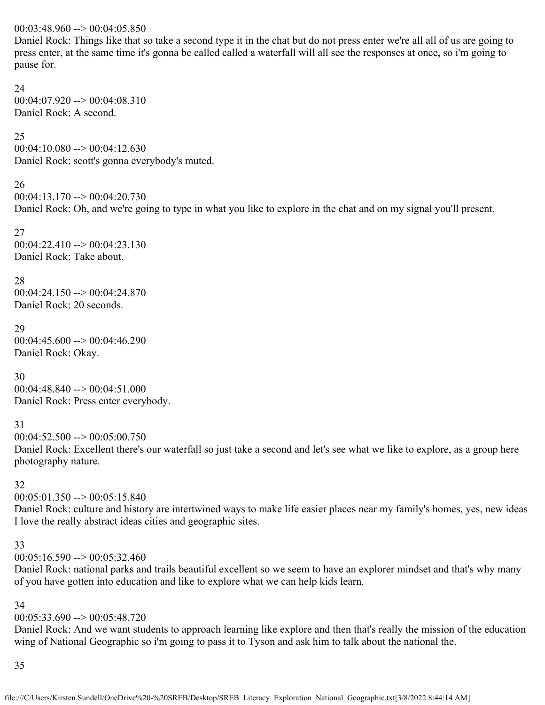### $00:03:48.960 \rightarrow 00:04:05.850$

Daniel Rock: Things like that so take a second type it in the chat but do not press enter we're all all of us are going to press enter, at the same time it's gonna be called called a waterfall will all see the responses at once, so i'm going to pause for.

### 24

 $00:04:07.920 \rightarrow 00:04:08.310$ Daniel Rock: A second.

### 25

 $00:04:10.080 \rightarrow 00:04:12.630$ Daniel Rock: scott's gonna everybody's muted.

# 26

 $00:04:13.170 \rightarrow 00:04:20.730$ Daniel Rock: Oh, and we're going to type in what you like to explore in the chat and on my signal you'll present.

27  $00:04:22.410 \rightarrow 00:04:23.130$ Daniel Rock: Take about.

# 28

00:04:24.150 --> 00:04:24.870 Daniel Rock: 20 seconds.

### 29

00:04:45.600 --> 00:04:46.290 Daniel Rock: Okay.

# 30

00:04:48.840 --> 00:04:51.000 Daniel Rock: Press enter everybody.

# 31

 $00:04:52.500 \rightarrow 00:05:00.750$ 

Daniel Rock: Excellent there's our waterfall so just take a second and let's see what we like to explore, as a group here photography nature.

# 32

 $00:05:01.350 \rightarrow 00:05:15.840$ 

Daniel Rock: culture and history are intertwined ways to make life easier places near my family's homes, yes, new ideas I love the really abstract ideas cities and geographic sites.

# 33

 $00:05:16.590 \rightarrow 00:05:32.460$ 

Daniel Rock: national parks and trails beautiful excellent so we seem to have an explorer mindset and that's why many of you have gotten into education and like to explore what we can help kids learn.

# 34

# $00:05:33.690 \rightarrow 00:05:48.720$

Daniel Rock: And we want students to approach learning like explore and then that's really the mission of the education wing of National Geographic so i'm going to pass it to Tyson and ask him to talk about the national the.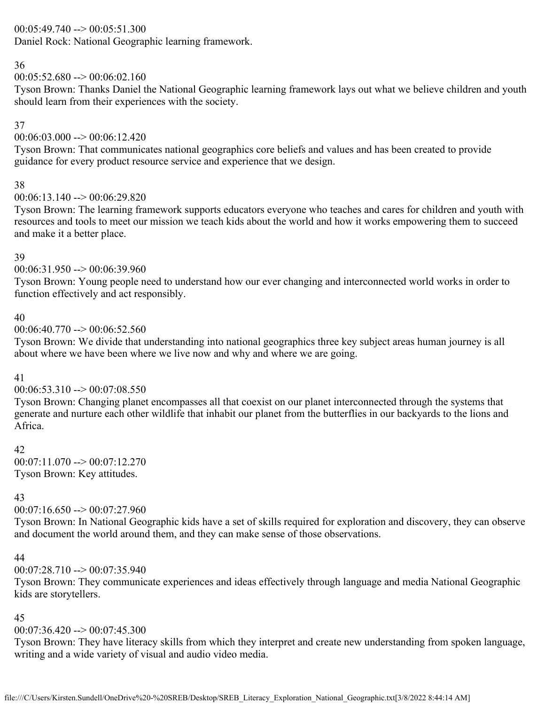# $00:05:49.740 \rightarrow 00:05:51.300$

Daniel Rock: National Geographic learning framework.

# 36

 $00:05:52.680 \rightarrow 00:06:02.160$ 

Tyson Brown: Thanks Daniel the National Geographic learning framework lays out what we believe children and youth should learn from their experiences with the society.

# 37

 $00:06:03.000 \rightarrow 00:06:12.420$ 

Tyson Brown: That communicates national geographics core beliefs and values and has been created to provide guidance for every product resource service and experience that we design.

### 38

### $00:06:13.140 \rightarrow 00:06:29.820$

Tyson Brown: The learning framework supports educators everyone who teaches and cares for children and youth with resources and tools to meet our mission we teach kids about the world and how it works empowering them to succeed and make it a better place.

### 39

### $00:06:31.950 \rightarrow 00:06:39.960$

Tyson Brown: Young people need to understand how our ever changing and interconnected world works in order to function effectively and act responsibly.

### 40

### $00:06:40.770 \rightarrow 00:06:52.560$

Tyson Brown: We divide that understanding into national geographics three key subject areas human journey is all about where we have been where we live now and why and where we are going.

# 41

# $00:06:53.310 \rightarrow 00:07:08.550$

Tyson Brown: Changing planet encompasses all that coexist on our planet interconnected through the systems that generate and nurture each other wildlife that inhabit our planet from the butterflies in our backyards to the lions and Africa.

# 42

 $00:07:11.070 \rightarrow 00:07:12.270$ Tyson Brown: Key attitudes.

# 43

# $00:07:16.650 \rightarrow 00:07:27.960$

Tyson Brown: In National Geographic kids have a set of skills required for exploration and discovery, they can observe and document the world around them, and they can make sense of those observations.

### 44

# $00:07:28.710 \rightarrow 00:07:35.940$

Tyson Brown: They communicate experiences and ideas effectively through language and media National Geographic kids are storytellers.

# 45

# $00:07:36.420 \rightarrow 00:07:45.300$

Tyson Brown: They have literacy skills from which they interpret and create new understanding from spoken language, writing and a wide variety of visual and audio video media.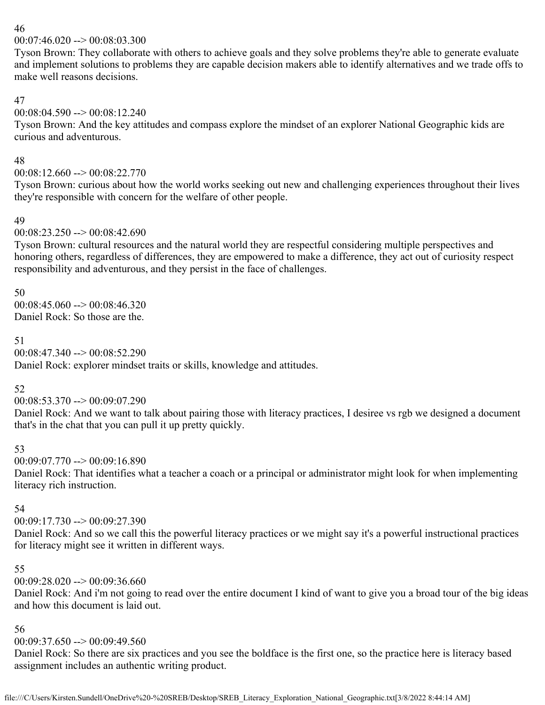$00:07:46.020 \rightarrow 00:08:03.300$ 

Tyson Brown: They collaborate with others to achieve goals and they solve problems they're able to generate evaluate and implement solutions to problems they are capable decision makers able to identify alternatives and we trade offs to make well reasons decisions.

# 47

 $00:08:04.590 \rightarrow 00:08:12.240$ 

Tyson Brown: And the key attitudes and compass explore the mindset of an explorer National Geographic kids are curious and adventurous.

### 48

00:08:12.660 --> 00:08:22.770

Tyson Brown: curious about how the world works seeking out new and challenging experiences throughout their lives they're responsible with concern for the welfare of other people.

### 49

 $00:08:23.250 \rightarrow 00:08:42.690$ 

Tyson Brown: cultural resources and the natural world they are respectful considering multiple perspectives and honoring others, regardless of differences, they are empowered to make a difference, they act out of curiosity respect responsibility and adventurous, and they persist in the face of challenges.

50

 $00:08:45.060 \rightarrow 00:08:46.320$ Daniel Rock: So those are the.

51

00:08:47.340 --> 00:08:52.290

Daniel Rock: explorer mindset traits or skills, knowledge and attitudes.

# 52

00:08:53.370 --> 00:09:07.290

Daniel Rock: And we want to talk about pairing those with literacy practices, I desiree vs rgb we designed a document that's in the chat that you can pull it up pretty quickly.

# 53

 $00:09:07.770 \rightarrow 00:09:16.890$ 

Daniel Rock: That identifies what a teacher a coach or a principal or administrator might look for when implementing literacy rich instruction.

# 54

 $00:09:17.730 \rightarrow 00:09:27.390$ 

Daniel Rock: And so we call this the powerful literacy practices or we might say it's a powerful instructional practices for literacy might see it written in different ways.

# 55

 $00:09:28.020 \rightarrow 00:09:36.660$ 

Daniel Rock: And i'm not going to read over the entire document I kind of want to give you a broad tour of the big ideas and how this document is laid out.

# 56

 $00:09:37.650 \rightarrow 00:09:49.560$ 

Daniel Rock: So there are six practices and you see the boldface is the first one, so the practice here is literacy based assignment includes an authentic writing product.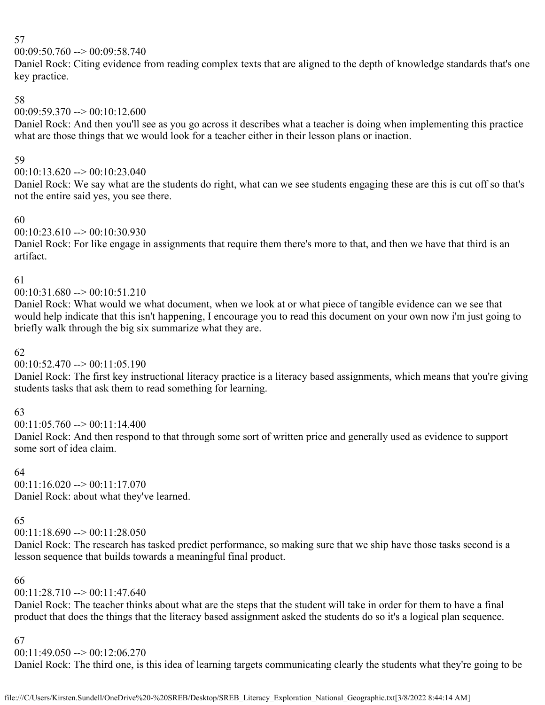00:09:50.760 --> 00:09:58.740

Daniel Rock: Citing evidence from reading complex texts that are aligned to the depth of knowledge standards that's one key practice.

# 58

00:09:59.370 --> 00:10:12.600

Daniel Rock: And then you'll see as you go across it describes what a teacher is doing when implementing this practice what are those things that we would look for a teacher either in their lesson plans or inaction.

### 59

 $00:10:13.620 \rightarrow 00:10:23.040$ 

Daniel Rock: We say what are the students do right, what can we see students engaging these are this is cut off so that's not the entire said yes, you see there.

# 60

 $00:10:23.610 \rightarrow 00:10:30.930$ 

Daniel Rock: For like engage in assignments that require them there's more to that, and then we have that third is an artifact.

# 61

00:10:31.680 --> 00:10:51.210

Daniel Rock: What would we what document, when we look at or what piece of tangible evidence can we see that would help indicate that this isn't happening, I encourage you to read this document on your own now i'm just going to briefly walk through the big six summarize what they are.

# 62

 $00:10:52.470 \rightarrow 00:11:05.190$ 

Daniel Rock: The first key instructional literacy practice is a literacy based assignments, which means that you're giving students tasks that ask them to read something for learning.

# 63

 $00:11:05.760 \rightarrow 00:11:14.400$ 

Daniel Rock: And then respond to that through some sort of written price and generally used as evidence to support some sort of idea claim.

# 64

00:11:16.020 --> 00:11:17.070 Daniel Rock: about what they've learned.

# 65

00:11:18.690 --> 00:11:28.050

Daniel Rock: The research has tasked predict performance, so making sure that we ship have those tasks second is a lesson sequence that builds towards a meaningful final product.

# 66

00:11:28.710 --> 00:11:47.640

Daniel Rock: The teacher thinks about what are the steps that the student will take in order for them to have a final product that does the things that the literacy based assignment asked the students do so it's a logical plan sequence.

# 67

# $00:11:49.050 \rightarrow 00:12:06.270$

Daniel Rock: The third one, is this idea of learning targets communicating clearly the students what they're going to be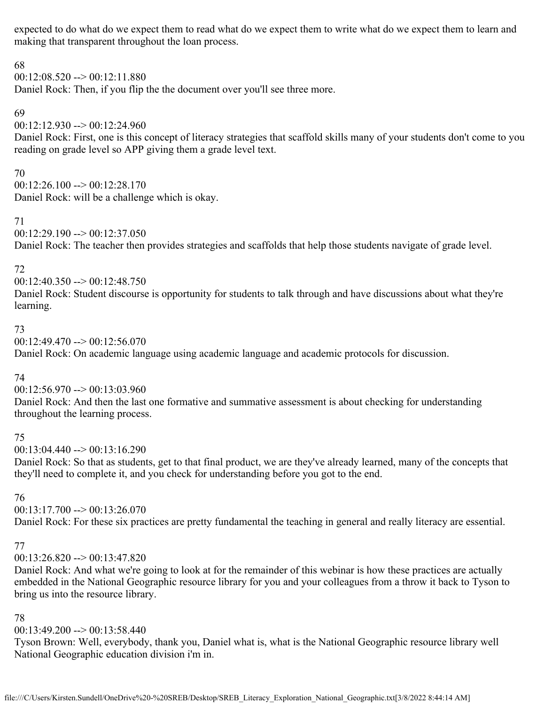expected to do what do we expect them to read what do we expect them to write what do we expect them to learn and making that transparent throughout the loan process.

### 68

 $00:12:08.520 \rightarrow 00:12:11.880$ 

Daniel Rock: Then, if you flip the the document over you'll see three more.

### 69

00:12:12.930 --> 00:12:24.960

Daniel Rock: First, one is this concept of literacy strategies that scaffold skills many of your students don't come to you reading on grade level so APP giving them a grade level text.

70

 $00:12:26.100 \rightarrow 00:12:28.170$ Daniel Rock: will be a challenge which is okay.

### 71

 $00:12:29.190 \rightarrow 00:12:37.050$ 

Daniel Rock: The teacher then provides strategies and scaffolds that help those students navigate of grade level.

# 72

 $00:12:40.350 \rightarrow 00:12:48.750$ 

Daniel Rock: Student discourse is opportunity for students to talk through and have discussions about what they're learning.

# 73

 $00:12:49.470 \rightarrow 00:12:56.070$ 

Daniel Rock: On academic language using academic language and academic protocols for discussion.

# 74

 $00:12:56.970 \rightarrow 00:13:03.960$ 

Daniel Rock: And then the last one formative and summative assessment is about checking for understanding throughout the learning process.

# 75

 $00:13:04.440 \rightarrow 00:13:16.290$ 

Daniel Rock: So that as students, get to that final product, we are they've already learned, many of the concepts that they'll need to complete it, and you check for understanding before you got to the end.

# 76

 $00:13:17.700 \rightarrow 00:13:26.070$ 

Daniel Rock: For these six practices are pretty fundamental the teaching in general and really literacy are essential.

# 77

# 00:13:26.820 --> 00:13:47.820

Daniel Rock: And what we're going to look at for the remainder of this webinar is how these practices are actually embedded in the National Geographic resource library for you and your colleagues from a throw it back to Tyson to bring us into the resource library.

# 78

 $00:13:49.200 \rightarrow 00:13:58.440$ 

Tyson Brown: Well, everybody, thank you, Daniel what is, what is the National Geographic resource library well National Geographic education division i'm in.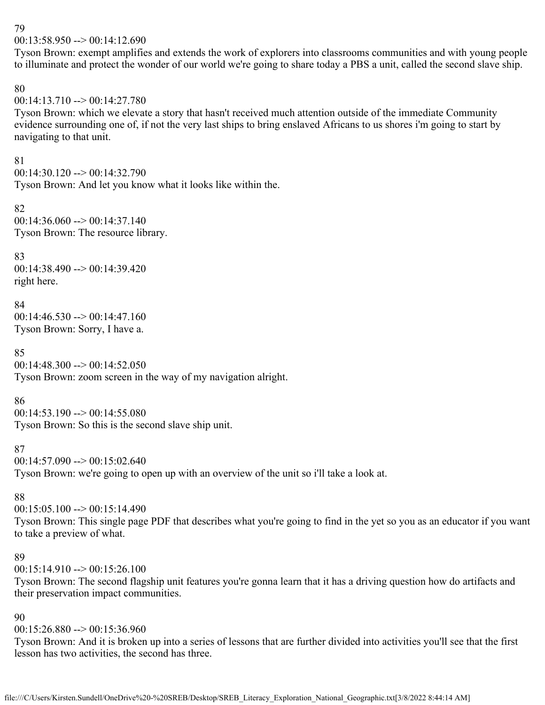$00:13:58.950 \rightarrow 00:14:12.690$ 

Tyson Brown: exempt amplifies and extends the work of explorers into classrooms communities and with young people to illuminate and protect the wonder of our world we're going to share today a PBS a unit, called the second slave ship.

### 80

### $00:14:13.710 \rightarrow 00:14:27.780$

Tyson Brown: which we elevate a story that hasn't received much attention outside of the immediate Community evidence surrounding one of, if not the very last ships to bring enslaved Africans to us shores i'm going to start by navigating to that unit.

### 81

 $00:14:30.120 \rightarrow 00:14:32.790$ Tyson Brown: And let you know what it looks like within the.

#### 82 00:14:36.060 --> 00:14:37.140 Tyson Brown: The resource library.

# 83

00:14:38.490 --> 00:14:39.420 right here.

### 84

 $00:14:46.530 \rightarrow 00:14:47.160$ Tyson Brown: Sorry, I have a.

# 85

 $00:14:48.300 \rightarrow 00:14:52.050$ Tyson Brown: zoom screen in the way of my navigation alright.

# 86

 $00:14:53.190 \rightarrow 00:14:55.080$ Tyson Brown: So this is the second slave ship unit.

# 87

 $00:14:57.090 \rightarrow 00:15:02.640$ 

Tyson Brown: we're going to open up with an overview of the unit so i'll take a look at.

# 88

 $00:15:05.100 \rightarrow 00:15:14.490$ 

Tyson Brown: This single page PDF that describes what you're going to find in the yet so you as an educator if you want to take a preview of what.

### 89

 $00:15:14.910 \rightarrow 00:15:26.100$ 

Tyson Brown: The second flagship unit features you're gonna learn that it has a driving question how do artifacts and their preservation impact communities.

# 90

 $00:15:26.880 \rightarrow 00:15:36.960$ 

Tyson Brown: And it is broken up into a series of lessons that are further divided into activities you'll see that the first lesson has two activities, the second has three.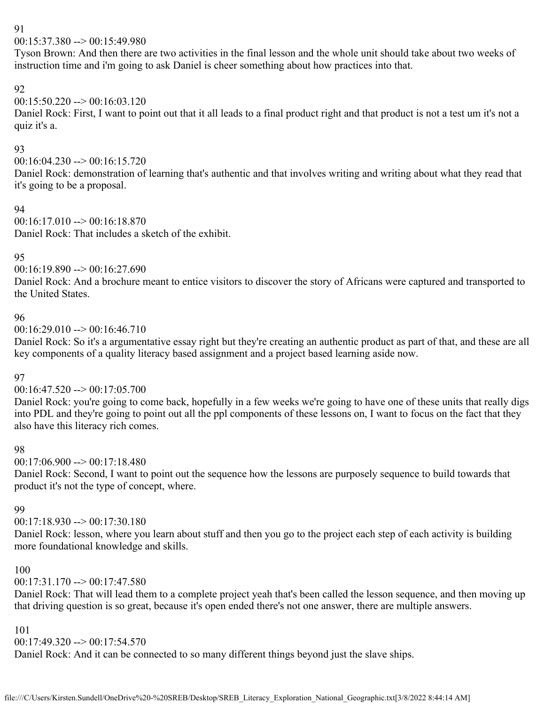$00:15:37.380 \rightarrow 00:15:49.980$ 

Tyson Brown: And then there are two activities in the final lesson and the whole unit should take about two weeks of instruction time and i'm going to ask Daniel is cheer something about how practices into that.

# 92

# $00:15:50.220 \rightarrow 00:16:03.120$

Daniel Rock: First, I want to point out that it all leads to a final product right and that product is not a test um it's not a quiz it's a.

# 93

00:16:04.230 --> 00:16:15.720

Daniel Rock: demonstration of learning that's authentic and that involves writing and writing about what they read that it's going to be a proposal.

### 94

 $00:16:17.010 \rightarrow 00:16:18.870$ Daniel Rock: That includes a sketch of the exhibit.

# 95

 $00:16:19.890 \rightarrow 00:16:27.690$ 

Daniel Rock: And a brochure meant to entice visitors to discover the story of Africans were captured and transported to the United States.

# 96

 $00:16:29.010 \rightarrow 00:16:46.710$ 

Daniel Rock: So it's a argumentative essay right but they're creating an authentic product as part of that, and these are all key components of a quality literacy based assignment and a project based learning aside now.

# 97

# $00:16:47.520 \rightarrow 00:17:05.700$

Daniel Rock: you're going to come back, hopefully in a few weeks we're going to have one of these units that really digs into PDL and they're going to point out all the ppl components of these lessons on, I want to focus on the fact that they also have this literacy rich comes.

# 98

 $00:17:06.900 \rightarrow 00:17:18.480$ 

Daniel Rock: Second, I want to point out the sequence how the lessons are purposely sequence to build towards that product it's not the type of concept, where.

# 99

 $00:17:18.930 \rightarrow 00:17:30.180$ 

Daniel Rock: lesson, where you learn about stuff and then you go to the project each step of each activity is building more foundational knowledge and skills.

# 100

00:17:31.170 --> 00:17:47.580

Daniel Rock: That will lead them to a complete project yeah that's been called the lesson sequence, and then moving up that driving question is so great, because it's open ended there's not one answer, there are multiple answers.

### 101

 $00:17:49.320 \rightarrow 00:17:54.570$ 

Daniel Rock: And it can be connected to so many different things beyond just the slave ships.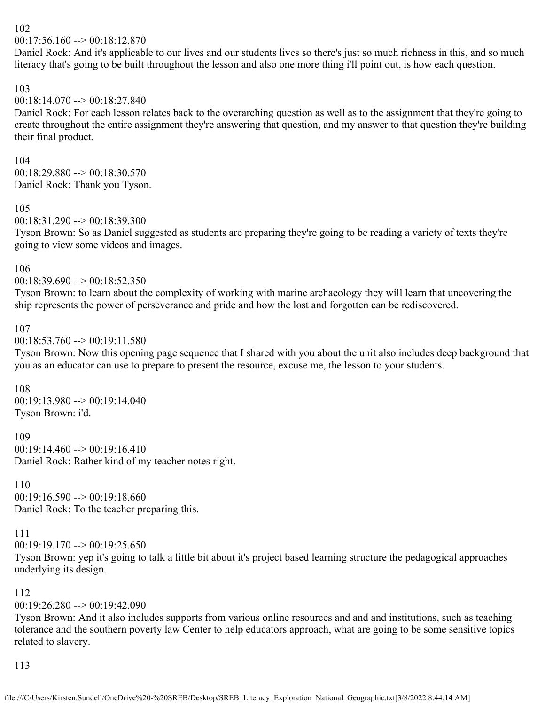$00:17:56.160 \rightarrow 00:18:12.870$ 

Daniel Rock: And it's applicable to our lives and our students lives so there's just so much richness in this, and so much literacy that's going to be built throughout the lesson and also one more thing i'll point out, is how each question.

### 103

#### $00:18:14.070 \rightarrow 00:18:27.840$

Daniel Rock: For each lesson relates back to the overarching question as well as to the assignment that they're going to create throughout the entire assignment they're answering that question, and my answer to that question they're building their final product.

#### 104

 $00:18:29.880 \rightarrow 00:18:30.570$ Daniel Rock: Thank you Tyson.

#### 105

00:18:31.290 --> 00:18:39.300

Tyson Brown: So as Daniel suggested as students are preparing they're going to be reading a variety of texts they're going to view some videos and images.

### 106

 $00:18:39.690 \rightarrow 00:18:52.350$ 

Tyson Brown: to learn about the complexity of working with marine archaeology they will learn that uncovering the ship represents the power of perseverance and pride and how the lost and forgotten can be rediscovered.

### 107

#### $00:18:53.760 \rightarrow 00:19:11.580$

Tyson Brown: Now this opening page sequence that I shared with you about the unit also includes deep background that you as an educator can use to prepare to present the resource, excuse me, the lesson to your students.

#### 108

00:19:13.980 --> 00:19:14.040 Tyson Brown: i'd.

#### 109

 $00:19:14.460 \rightarrow 00:19:16.410$ Daniel Rock: Rather kind of my teacher notes right.

#### 110

 $00:19:16.590 \rightarrow 00:19:18.660$ Daniel Rock: To the teacher preparing this.

### 111

 $00:19:19.170 \rightarrow 00:19:25.650$ 

Tyson Brown: yep it's going to talk a little bit about it's project based learning structure the pedagogical approaches underlying its design.

### 112

### $00:19:26.280 \rightarrow 00:19:42.090$

Tyson Brown: And it also includes supports from various online resources and and and institutions, such as teaching tolerance and the southern poverty law Center to help educators approach, what are going to be some sensitive topics related to slavery.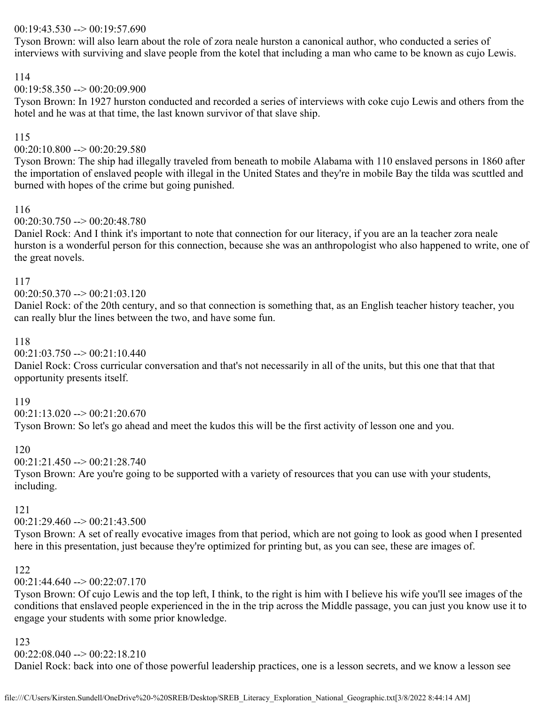### 00:19:43.530 --> 00:19:57.690

Tyson Brown: will also learn about the role of zora neale hurston a canonical author, who conducted a series of interviews with surviving and slave people from the kotel that including a man who came to be known as cujo Lewis.

### 114

### $00:19:58.350 \rightarrow 00:20:09.900$

Tyson Brown: In 1927 hurston conducted and recorded a series of interviews with coke cujo Lewis and others from the hotel and he was at that time, the last known survivor of that slave ship.

### 115

00:20:10.800 --> 00:20:29.580

Tyson Brown: The ship had illegally traveled from beneath to mobile Alabama with 110 enslaved persons in 1860 after the importation of enslaved people with illegal in the United States and they're in mobile Bay the tilda was scuttled and burned with hopes of the crime but going punished.

### 116

### $00:20:30.750 \rightarrow 00:20:48.780$

Daniel Rock: And I think it's important to note that connection for our literacy, if you are an la teacher zora neale hurston is a wonderful person for this connection, because she was an anthropologist who also happened to write, one of the great novels.

### 117

### 00:20:50.370 --> 00:21:03.120

Daniel Rock: of the 20th century, and so that connection is something that, as an English teacher history teacher, you can really blur the lines between the two, and have some fun.

### 118

 $00:21:03.750 \rightarrow 00:21:10.440$ 

Daniel Rock: Cross curricular conversation and that's not necessarily in all of the units, but this one that that that opportunity presents itself.

### 119

 $00:21:13.020 \rightarrow 00:21:20.670$ 

Tyson Brown: So let's go ahead and meet the kudos this will be the first activity of lesson one and you.

### 120

 $00:21:21.450 \rightarrow 00:21:28.740$ 

Tyson Brown: Are you're going to be supported with a variety of resources that you can use with your students, including.

### 121

00:21:29.460 --> 00:21:43.500

Tyson Brown: A set of really evocative images from that period, which are not going to look as good when I presented here in this presentation, just because they're optimized for printing but, as you can see, these are images of.

### 122

00:21:44.640 --> 00:22:07.170

Tyson Brown: Of cujo Lewis and the top left, I think, to the right is him with I believe his wife you'll see images of the conditions that enslaved people experienced in the in the trip across the Middle passage, you can just you know use it to engage your students with some prior knowledge.

### 123

### 00:22:08.040 --> 00:22:18.210

Daniel Rock: back into one of those powerful leadership practices, one is a lesson secrets, and we know a lesson see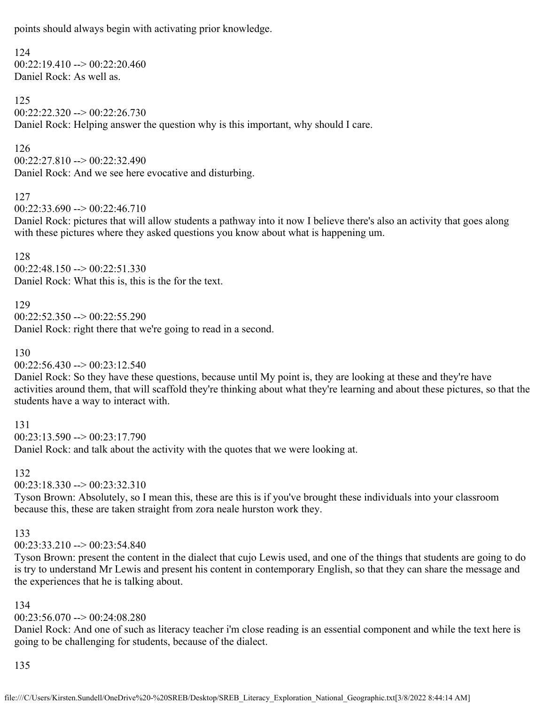points should always begin with activating prior knowledge.

### 124

 $00:22:19.410 \rightarrow 00:22:20.460$ Daniel Rock: As well as.

### 125

00:22:22.320 --> 00:22:26.730 Daniel Rock: Helping answer the question why is this important, why should I care.

### 126

00:22:27.810 --> 00:22:32.490 Daniel Rock: And we see here evocative and disturbing.

### 127

 $00:22:33.690 \rightarrow 00:22:46.710$ 

Daniel Rock: pictures that will allow students a pathway into it now I believe there's also an activity that goes along with these pictures where they asked questions you know about what is happening um.

128 00:22:48.150 --> 00:22:51.330 Daniel Rock: What this is, this is the for the text.

### 129

 $00:22:52.350 \rightarrow 00:22:55.290$ Daniel Rock: right there that we're going to read in a second.

# 130

 $00:22:56.430 \rightarrow 00:23:12.540$ 

Daniel Rock: So they have these questions, because until My point is, they are looking at these and they're have activities around them, that will scaffold they're thinking about what they're learning and about these pictures, so that the students have a way to interact with.

131  $00:23:13.590 \rightarrow 00:23:17.790$ Daniel Rock: and talk about the activity with the quotes that we were looking at.

#### 132

00:23:18.330 --> 00:23:32.310

Tyson Brown: Absolutely, so I mean this, these are this is if you've brought these individuals into your classroom because this, these are taken straight from zora neale hurston work they.

### 133

 $00:23:33.210 \rightarrow 00:23:54.840$ 

Tyson Brown: present the content in the dialect that cujo Lewis used, and one of the things that students are going to do is try to understand Mr Lewis and present his content in contemporary English, so that they can share the message and the experiences that he is talking about.

# 134

# 00:23:56.070 --> 00:24:08.280

Daniel Rock: And one of such as literacy teacher i'm close reading is an essential component and while the text here is going to be challenging for students, because of the dialect.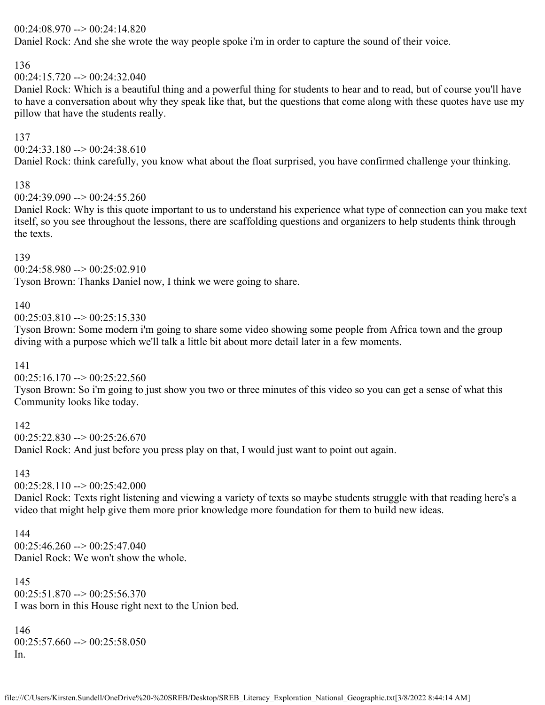### 00:24:08.970 --> 00:24:14.820

Daniel Rock: And she she wrote the way people spoke i'm in order to capture the sound of their voice.

### 136

00:24:15.720 --> 00:24:32.040

Daniel Rock: Which is a beautiful thing and a powerful thing for students to hear and to read, but of course you'll have to have a conversation about why they speak like that, but the questions that come along with these quotes have use my pillow that have the students really.

### 137

 $00:24:33.180 \rightarrow 00:24:38.610$ 

Daniel Rock: think carefully, you know what about the float surprised, you have confirmed challenge your thinking.

### 138

 $00:24:39.090 \rightarrow 00:24:55.260$ 

Daniel Rock: Why is this quote important to us to understand his experience what type of connection can you make text itself, so you see throughout the lessons, there are scaffolding questions and organizers to help students think through the texts.

### 139

 $00:24:58.980 \rightarrow 00:25:02.910$ 

Tyson Brown: Thanks Daniel now, I think we were going to share.

### 140

 $00:25:03.810 \rightarrow 00:25:15.330$ 

Tyson Brown: Some modern i'm going to share some video showing some people from Africa town and the group diving with a purpose which we'll talk a little bit about more detail later in a few moments.

### 141

 $00:25:16.170 \rightarrow 00:25:22.560$ 

Tyson Brown: So i'm going to just show you two or three minutes of this video so you can get a sense of what this Community looks like today.

### 142

 $00:25:22.830 \rightarrow 00:25:26.670$ 

Daniel Rock: And just before you press play on that, I would just want to point out again.

### 143

 $00:25:28.110 \rightarrow 00:25:42.000$ 

Daniel Rock: Texts right listening and viewing a variety of texts so maybe students struggle with that reading here's a video that might help give them more prior knowledge more foundation for them to build new ideas.

### 144

 $00:25:46.260 \rightarrow 00:25:47.040$ Daniel Rock: We won't show the whole.

145  $00:25:51.870 \rightarrow 00:25:56.370$ I was born in this House right next to the Union bed.

146  $00:25:57.660 \rightarrow 00:25:58.050$ In.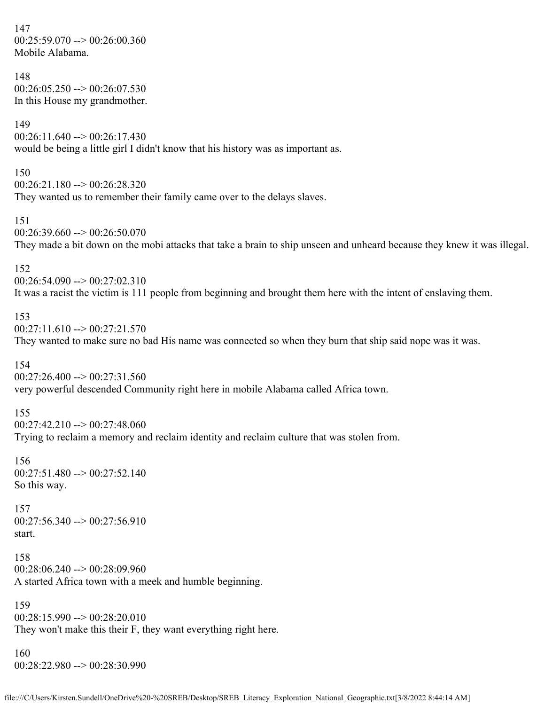147  $00:25:59.070 \rightarrow 00:26:00.360$ Mobile Alabama.

### 148  $00:26:05.250 \rightarrow 00:26:07.530$ In this House my grandmother.

149

 $00:26:11.640 \rightarrow 00:26:17.430$ would be being a little girl I didn't know that his history was as important as.

### 150

00:26:21.180 --> 00:26:28.320 They wanted us to remember their family came over to the delays slaves.

#### 151

 $00:26:39.660 \rightarrow 00:26:50.070$ They made a bit down on the mobi attacks that take a brain to ship unseen and unheard because they knew it was illegal.

### 152

 $00:26:54.090 \rightarrow 00:27:02.310$ It was a racist the victim is 111 people from beginning and brought them here with the intent of enslaving them.

### 153

 $00:27:11.610 \rightarrow 00:27:21.570$ 

They wanted to make sure no bad His name was connected so when they burn that ship said nope was it was.

### 154

 $00:27:26.400 \rightarrow 00:27:31.560$ very powerful descended Community right here in mobile Alabama called Africa town.

### 155

 $00:27:42.210 \rightarrow 00:27:48.060$ Trying to reclaim a memory and reclaim identity and reclaim culture that was stolen from.

156 00:27:51.480 --> 00:27:52.140 So this way.

### 157  $00:27:56.340 \rightarrow 00:27:56.910$ start.

158  $00:28:06.240 \rightarrow 00:28:09.960$ A started Africa town with a meek and humble beginning.

159 00:28:15.990 --> 00:28:20.010 They won't make this their F, they want everything right here.

160 00:28:22.980 --> 00:28:30.990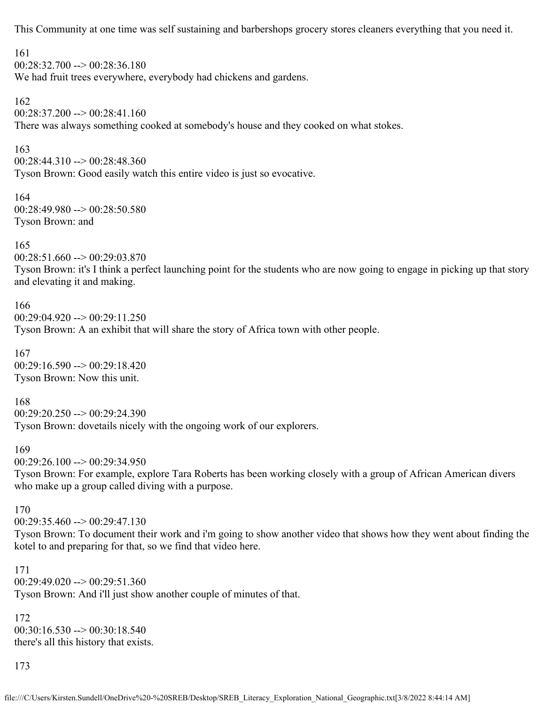This Community at one time was self sustaining and barbershops grocery stores cleaners everything that you need it.

161

 $00:28:32.700 \rightarrow 00:28:36.180$ 

We had fruit trees everywhere, everybody had chickens and gardens.

162

 $00:28:37.200 \rightarrow 00:28:41.160$ There was always something cooked at somebody's house and they cooked on what stokes.

163

00:28:44.310 --> 00:28:48.360 Tyson Brown: Good easily watch this entire video is just so evocative.

164 00:28:49.980 --> 00:28:50.580 Tyson Brown: and

165

00:28:51.660 --> 00:29:03.870

Tyson Brown: it's I think a perfect launching point for the students who are now going to engage in picking up that story and elevating it and making.

166 00:29:04.920 --> 00:29:11.250 Tyson Brown: A an exhibit that will share the story of Africa town with other people.

167 00:29:16.590 --> 00:29:18.420 Tyson Brown: Now this unit.

168 00:29:20.250 --> 00:29:24.390 Tyson Brown: dovetails nicely with the ongoing work of our explorers.

169

 $00:29:26.100 \rightarrow 00:29:34.950$ 

Tyson Brown: For example, explore Tara Roberts has been working closely with a group of African American divers who make up a group called diving with a purpose.

170

00:29:35.460 --> 00:29:47.130

Tyson Brown: To document their work and i'm going to show another video that shows how they went about finding the kotel to and preparing for that, so we find that video here.

171 00:29:49.020 --> 00:29:51.360 Tyson Brown: And i'll just show another couple of minutes of that.

172  $00:30:16.530 \rightarrow 00:30:18.540$ there's all this history that exists.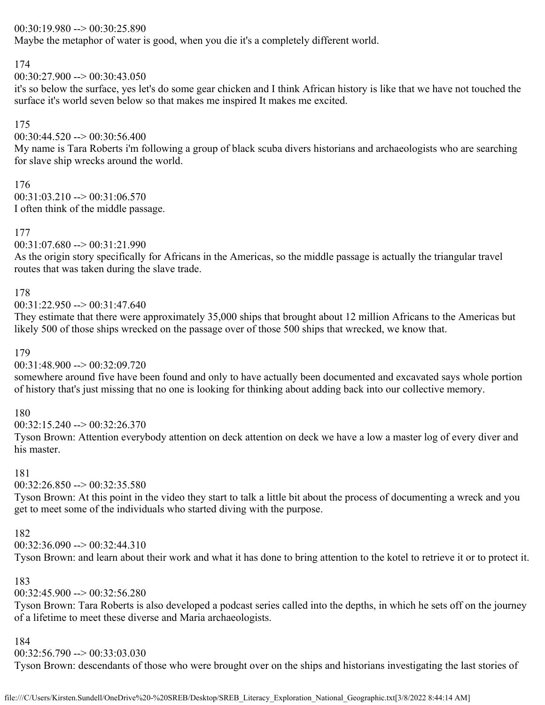### 00:30:19.980 --> 00:30:25.890

Maybe the metaphor of water is good, when you die it's a completely different world.

### 174

 $00:30:27.900 \rightarrow 00:30:43.050$ 

it's so below the surface, yes let's do some gear chicken and I think African history is like that we have not touched the surface it's world seven below so that makes me inspired It makes me excited.

### 175

 $00:30:44.520 \rightarrow 00:30:56.400$ 

My name is Tara Roberts i'm following a group of black scuba divers historians and archaeologists who are searching for slave ship wrecks around the world.

# 176

 $00:31:03.210 \rightarrow 00:31:06.570$ I often think of the middle passage.

# 177

00:31:07.680 --> 00:31:21.990

As the origin story specifically for Africans in the Americas, so the middle passage is actually the triangular travel routes that was taken during the slave trade.

# 178

 $00:31:22.950 \rightarrow 00:31:47.640$ 

They estimate that there were approximately 35,000 ships that brought about 12 million Africans to the Americas but likely 500 of those ships wrecked on the passage over of those 500 ships that wrecked, we know that.

### 179

00:31:48.900 --> 00:32:09.720

somewhere around five have been found and only to have actually been documented and excavated says whole portion of history that's just missing that no one is looking for thinking about adding back into our collective memory.

### 180

00:32:15.240 --> 00:32:26.370

Tyson Brown: Attention everybody attention on deck attention on deck we have a low a master log of every diver and his master.

# 181

 $00:32:26.850 \rightarrow 00:32:35.580$ 

Tyson Brown: At this point in the video they start to talk a little bit about the process of documenting a wreck and you get to meet some of the individuals who started diving with the purpose.

### 182

 $00:32:36.090 \rightarrow 00:32:44.310$ 

Tyson Brown: and learn about their work and what it has done to bring attention to the kotel to retrieve it or to protect it.

# 183

 $00:32:45.900 \rightarrow 00:32:56.280$ 

Tyson Brown: Tara Roberts is also developed a podcast series called into the depths, in which he sets off on the journey of a lifetime to meet these diverse and Maria archaeologists.

# 184

00:32:56.790 --> 00:33:03.030

Tyson Brown: descendants of those who were brought over on the ships and historians investigating the last stories of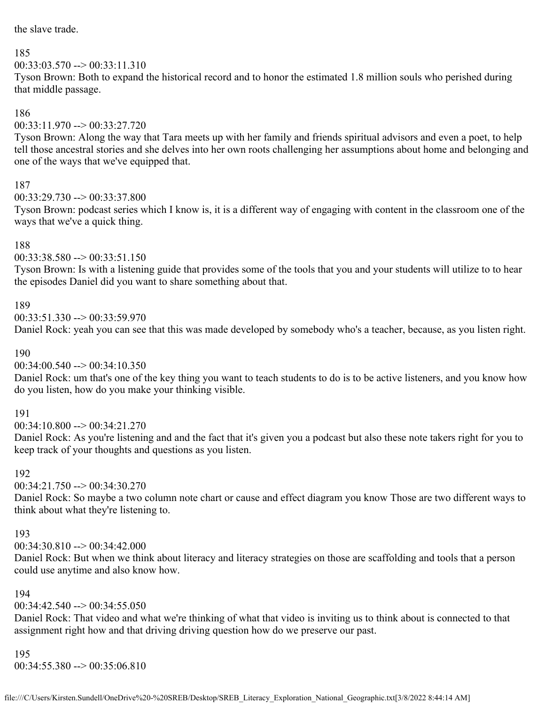the slave trade.

### 185

# $00:33:03.570 \rightarrow 00:33:11.310$

Tyson Brown: Both to expand the historical record and to honor the estimated 1.8 million souls who perished during that middle passage.

### 186

 $00:33:11.970 \rightarrow 00:33:27.720$ 

Tyson Brown: Along the way that Tara meets up with her family and friends spiritual advisors and even a poet, to help tell those ancestral stories and she delves into her own roots challenging her assumptions about home and belonging and one of the ways that we've equipped that.

# 187

 $00:33:29.730 \rightarrow 00:33:37.800$ 

Tyson Brown: podcast series which I know is, it is a different way of engaging with content in the classroom one of the ways that we've a quick thing.

# 188

# $00:33:38.580 \rightarrow 00:33:51.150$

Tyson Brown: Is with a listening guide that provides some of the tools that you and your students will utilize to to hear the episodes Daniel did you want to share something about that.

# 189

 $00:33:51.330 \rightarrow 00:33:59.970$ 

Daniel Rock: yeah you can see that this was made developed by somebody who's a teacher, because, as you listen right.

# 190

00:34:00.540 --> 00:34:10.350

Daniel Rock: um that's one of the key thing you want to teach students to do is to be active listeners, and you know how do you listen, how do you make your thinking visible.

# 191

00:34:10.800 --> 00:34:21.270

Daniel Rock: As you're listening and and the fact that it's given you a podcast but also these note takers right for you to keep track of your thoughts and questions as you listen.

# 192

 $00:34:21.750 \rightarrow 00:34:30.270$ 

Daniel Rock: So maybe a two column note chart or cause and effect diagram you know Those are two different ways to think about what they're listening to.

# 193

 $00:34:30.810 \rightarrow 00:34:42.000$ 

Daniel Rock: But when we think about literacy and literacy strategies on those are scaffolding and tools that a person could use anytime and also know how.

# 194

 $00:34:42.540 \rightarrow 00:34:55.050$ 

Daniel Rock: That video and what we're thinking of what that video is inviting us to think about is connected to that assignment right how and that driving driving question how do we preserve our past.

# 195

00:34:55.380 --> 00:35:06.810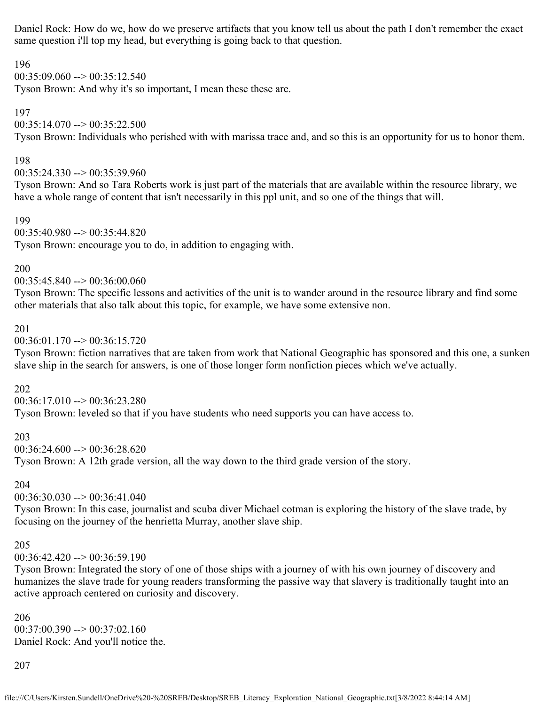Daniel Rock: How do we, how do we preserve artifacts that you know tell us about the path I don't remember the exact same question i'll top my head, but everything is going back to that question.

196

 $00:35:09.060 \rightarrow 00:35:12.540$ 

Tyson Brown: And why it's so important, I mean these these are.

197

# $00:35:14.070 \rightarrow 00:35:22.500$

Tyson Brown: Individuals who perished with with marissa trace and, and so this is an opportunity for us to honor them.

### 198

 $00:35:24.330 \rightarrow 00:35:39.960$ 

Tyson Brown: And so Tara Roberts work is just part of the materials that are available within the resource library, we have a whole range of content that isn't necessarily in this ppl unit, and so one of the things that will.

199

 $00:35:40.980 \rightarrow 00:35:44.820$ 

Tyson Brown: encourage you to do, in addition to engaging with.

200

 $00:35:45.840 \rightarrow 00:36:00.060$ 

Tyson Brown: The specific lessons and activities of the unit is to wander around in the resource library and find some other materials that also talk about this topic, for example, we have some extensive non.

### 201

 $00:36:01.170 \rightarrow 00:36:15.720$ 

Tyson Brown: fiction narratives that are taken from work that National Geographic has sponsored and this one, a sunken slave ship in the search for answers, is one of those longer form nonfiction pieces which we've actually.

# 202

 $00:36:17.010 \rightarrow 00:36:23.280$ Tyson Brown: leveled so that if you have students who need supports you can have access to.

# 203

 $00:36:24.600 \rightarrow 00:36:28.620$ Tyson Brown: A 12th grade version, all the way down to the third grade version of the story.

# 204

 $00:36:30.030 \rightarrow 00:36:41.040$ 

Tyson Brown: In this case, journalist and scuba diver Michael cotman is exploring the history of the slave trade, by focusing on the journey of the henrietta Murray, another slave ship.

# 205

00:36:42.420 --> 00:36:59.190

Tyson Brown: Integrated the story of one of those ships with a journey of with his own journey of discovery and humanizes the slave trade for young readers transforming the passive way that slavery is traditionally taught into an active approach centered on curiosity and discovery.

206  $00:37:00.390 \rightarrow 00:37:02.160$ Daniel Rock: And you'll notice the.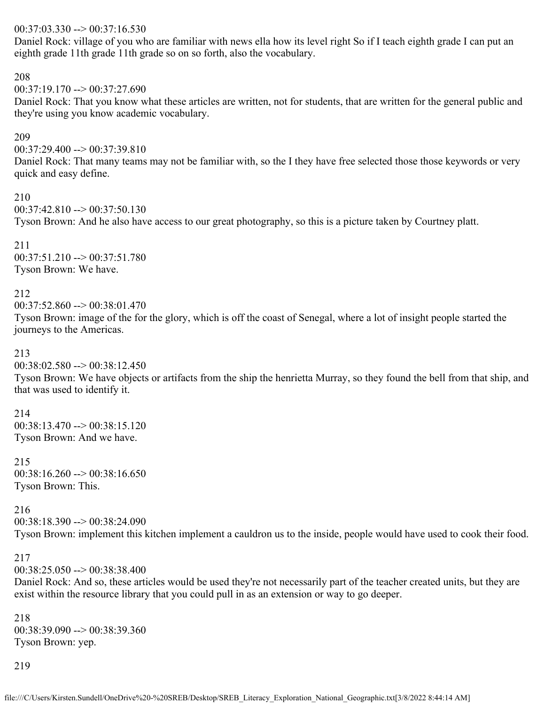### $00:37:03.330 \rightarrow 00:37:16.530$

Daniel Rock: village of you who are familiar with news ella how its level right So if I teach eighth grade I can put an eighth grade 11th grade 11th grade so on so forth, also the vocabulary.

208

 $00:37:19.170 \rightarrow 00:37:27.690$ 

Daniel Rock: That you know what these articles are written, not for students, that are written for the general public and they're using you know academic vocabulary.

#### 209

 $00:37:29.400 \rightarrow 00:37:39.810$ 

Daniel Rock: That many teams may not be familiar with, so the I they have free selected those those keywords or very quick and easy define.

210

 $00:37:42.810 \rightarrow 00:37:50.130$ 

Tyson Brown: And he also have access to our great photography, so this is a picture taken by Courtney platt.

211 00:37:51.210 --> 00:37:51.780 Tyson Brown: We have.

212

 $00:37:52.860 \rightarrow 00:38:01.470$ 

Tyson Brown: image of the for the glory, which is off the coast of Senegal, where a lot of insight people started the journeys to the Americas.

#### 213

 $00:38:02.580 \rightarrow 00:38:12.450$ 

Tyson Brown: We have objects or artifacts from the ship the henrietta Murray, so they found the bell from that ship, and that was used to identify it.

214 00:38:13.470 --> 00:38:15.120 Tyson Brown: And we have.

215 00:38:16.260 --> 00:38:16.650 Tyson Brown: This.

216 00:38:18.390 --> 00:38:24.090

Tyson Brown: implement this kitchen implement a cauldron us to the inside, people would have used to cook their food.

### 217

 $00:38:25.050 \rightarrow 00:38:38.400$ 

Daniel Rock: And so, these articles would be used they're not necessarily part of the teacher created units, but they are exist within the resource library that you could pull in as an extension or way to go deeper.

218  $00:38:39.090 \rightarrow 00:38:39.360$ Tyson Brown: yep.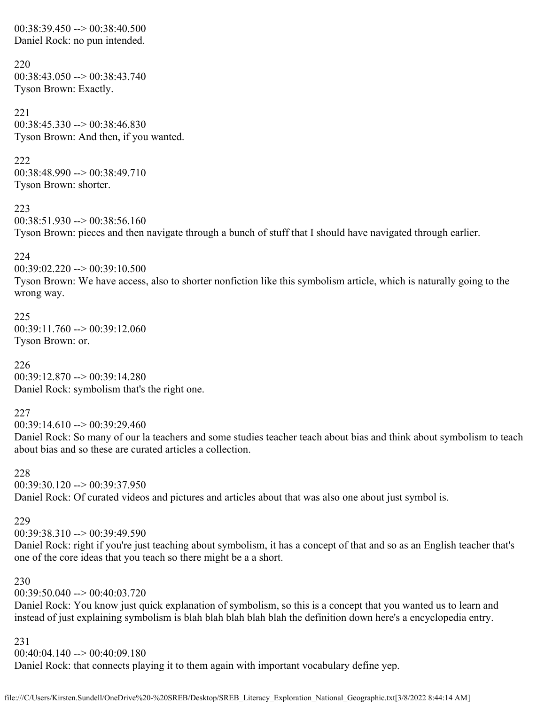00:38:39.450 --> 00:38:40.500 Daniel Rock: no pun intended.

220  $00:38:43.050 \rightarrow 00:38:43.740$ Tyson Brown: Exactly.

221  $00:38:45.330 \rightarrow 00:38:46.830$ Tyson Brown: And then, if you wanted.

222 00:38:48.990 --> 00:38:49.710 Tyson Brown: shorter.

223  $00:38:51.930 \rightarrow 00:38:56.160$ Tyson Brown: pieces and then navigate through a bunch of stuff that I should have navigated through earlier.

224

00:39:02.220 --> 00:39:10.500

Tyson Brown: We have access, also to shorter nonfiction like this symbolism article, which is naturally going to the wrong way.

225  $00:39:11.760 \rightarrow 00:39:12.060$ Tyson Brown: or.

226 00:39:12.870 --> 00:39:14.280 Daniel Rock: symbolism that's the right one.

227

00:39:14.610 --> 00:39:29.460

Daniel Rock: So many of our la teachers and some studies teacher teach about bias and think about symbolism to teach about bias and so these are curated articles a collection.

228

00:39:30.120 --> 00:39:37.950 Daniel Rock: Of curated videos and pictures and articles about that was also one about just symbol is.

229

 $00:39:38.310 \rightarrow 00:39:49.590$ 

Daniel Rock: right if you're just teaching about symbolism, it has a concept of that and so as an English teacher that's one of the core ideas that you teach so there might be a a short.

230

 $00:39:50.040 \rightarrow 00:40:03.720$ 

Daniel Rock: You know just quick explanation of symbolism, so this is a concept that you wanted us to learn and instead of just explaining symbolism is blah blah blah blah blah the definition down here's a encyclopedia entry.

231

00:40:04.140 --> 00:40:09.180

Daniel Rock: that connects playing it to them again with important vocabulary define yep.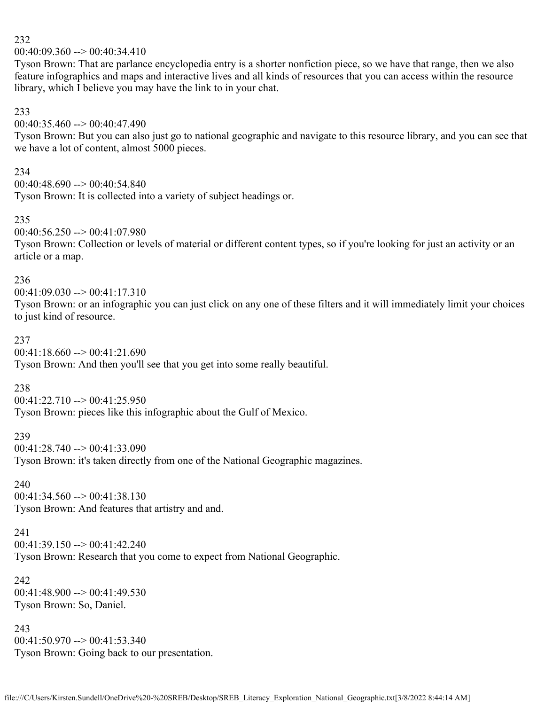$00:40:09.360 \rightarrow 00:40:34.410$ 

Tyson Brown: That are parlance encyclopedia entry is a shorter nonfiction piece, so we have that range, then we also feature infographics and maps and interactive lives and all kinds of resources that you can access within the resource library, which I believe you may have the link to in your chat.

#### 233

00:40:35.460 --> 00:40:47.490

Tyson Brown: But you can also just go to national geographic and navigate to this resource library, and you can see that we have a lot of content, almost 5000 pieces.

#### 234

00:40:48.690 --> 00:40:54.840 Tyson Brown: It is collected into a variety of subject headings or.

### 235

 $00:40:56.250 \rightarrow 00:41:07.980$ 

Tyson Brown: Collection or levels of material or different content types, so if you're looking for just an activity or an article or a map.

#### 236

 $00:41:09.030 \rightarrow 00:41:17.310$ Tyson Brown: or an infographic you can just click on any one of these filters and it will immediately limit your choices to just kind of resource.

#### 237

00:41:18.660 --> 00:41:21.690 Tyson Brown: And then you'll see that you get into some really beautiful.

#### 238

 $00:41:22.710 \rightarrow 00:41:25.950$ Tyson Brown: pieces like this infographic about the Gulf of Mexico.

# 239

00:41:28.740 --> 00:41:33.090 Tyson Brown: it's taken directly from one of the National Geographic magazines.

#### 240

 $00:41:34.560 \rightarrow 00:41:38.130$ Tyson Brown: And features that artistry and and.

### 241

 $00:41:39.150 \rightarrow 00:41:42.240$ 

Tyson Brown: Research that you come to expect from National Geographic.

#### 242

00:41:48.900 --> 00:41:49.530 Tyson Brown: So, Daniel.

#### 243 00:41:50.970 --> 00:41:53.340 Tyson Brown: Going back to our presentation.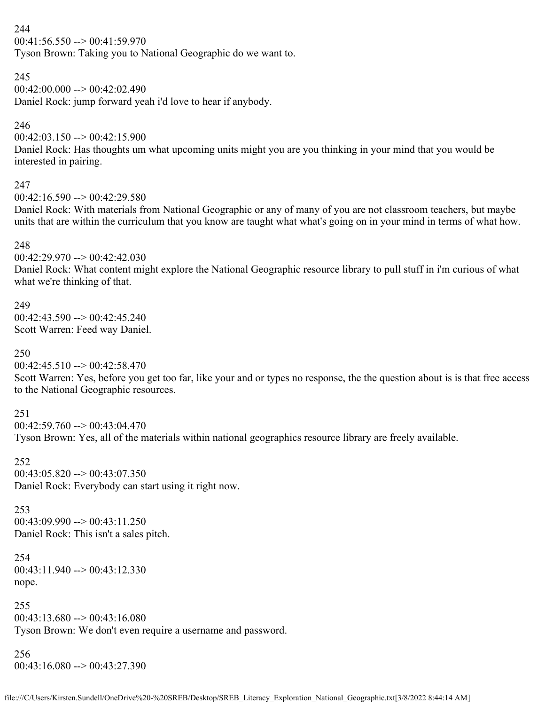$00:41:56.550 \rightarrow 00:41:59.970$ 

Tyson Brown: Taking you to National Geographic do we want to.

### 245

 $00:42:00.000 \rightarrow 00:42:02.490$ 

Daniel Rock: jump forward yeah i'd love to hear if anybody.

# 246

 $00:42:03.150 \rightarrow 00:42:15.900$ 

Daniel Rock: Has thoughts um what upcoming units might you are you thinking in your mind that you would be interested in pairing.

# 247

 $0.42:16.590 \rightarrow 0.42:29.580$ 

Daniel Rock: With materials from National Geographic or any of many of you are not classroom teachers, but maybe units that are within the curriculum that you know are taught what what's going on in your mind in terms of what how.

# 248

00:42:29.970 --> 00:42:42.030

Daniel Rock: What content might explore the National Geographic resource library to pull stuff in i'm curious of what what we're thinking of that.

# 249

 $00:42:43.590 \rightarrow 00:42:45.240$ Scott Warren: Feed way Daniel.

# 250

 $00:42:45.510 \rightarrow 00:42:58.470$ 

Scott Warren: Yes, before you get too far, like your and or types no response, the the question about is is that free access to the National Geographic resources.

# 251

00:42:59.760 --> 00:43:04.470

Tyson Brown: Yes, all of the materials within national geographics resource library are freely available.

# 252

 $00:43:05.820 \rightarrow 00:43:07.350$ Daniel Rock: Everybody can start using it right now.

# 253  $00:43:09.990 \rightarrow 00:43:11.250$ Daniel Rock: This isn't a sales pitch.

254  $00:43:11.940 \rightarrow 00:43:12.330$ nope.

255  $00:43:13.680 \rightarrow 00:43:16.080$ Tyson Brown: We don't even require a username and password.

# 256  $00:43:16.080 \rightarrow 00:43:27.390$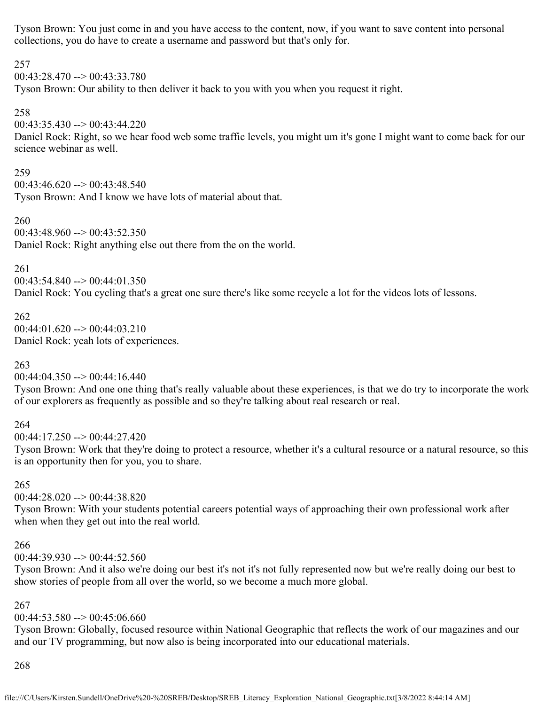Tyson Brown: You just come in and you have access to the content, now, if you want to save content into personal collections, you do have to create a username and password but that's only for.

### 257

 $00:43:28.470 \rightarrow 00:43:33.780$ 

Tyson Brown: Our ability to then deliver it back to you with you when you request it right.

### 258

 $00:43:35.430 \rightarrow 00:43:44.220$ 

Daniel Rock: Right, so we hear food web some traffic levels, you might um it's gone I might want to come back for our science webinar as well.

### 259

 $00:43:46.620 \rightarrow 00:43:48.540$ Tyson Brown: And I know we have lots of material about that.

### 260

 $0.43:48.960 \rightarrow 0.43:52.350$ Daniel Rock: Right anything else out there from the on the world.

### 261

 $00:43:54.840 \rightarrow 00:44:01.350$ Daniel Rock: You cycling that's a great one sure there's like some recycle a lot for the videos lots of lessons.

# 262

 $00:44:01.620 \rightarrow 00:44:03.210$ Daniel Rock: yeah lots of experiences.

# 263

 $00:44:04.350 \rightarrow 00:44:16.440$ 

Tyson Brown: And one one thing that's really valuable about these experiences, is that we do try to incorporate the work of our explorers as frequently as possible and so they're talking about real research or real.

# 264

 $00:44:17.250 \rightarrow 00:44:27.420$ 

Tyson Brown: Work that they're doing to protect a resource, whether it's a cultural resource or a natural resource, so this is an opportunity then for you, you to share.

# 265

 $00:44:28.020 \rightarrow 00:44:38.820$ 

Tyson Brown: With your students potential careers potential ways of approaching their own professional work after when when they get out into the real world.

# 266

00:44:39.930 --> 00:44:52.560

Tyson Brown: And it also we're doing our best it's not it's not fully represented now but we're really doing our best to show stories of people from all over the world, so we become a much more global.

# 267

# $00:44:53.580 \rightarrow 00:45:06.660$

Tyson Brown: Globally, focused resource within National Geographic that reflects the work of our magazines and our and our TV programming, but now also is being incorporated into our educational materials.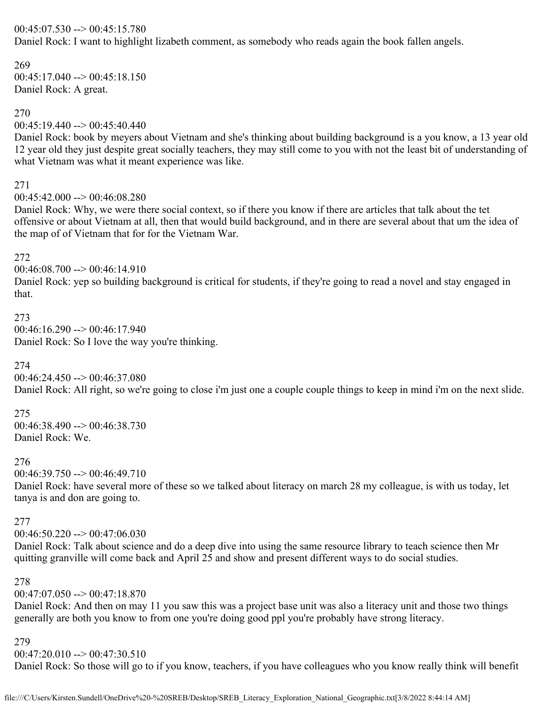### $00:45:07.530 \rightarrow 00:45:15.780$

Daniel Rock: I want to highlight lizabeth comment, as somebody who reads again the book fallen angels.

# 269

 $00:45:17.040 \rightarrow 00:45:18.150$ Daniel Rock: A great.

### 270

 $00:45:19.440 \rightarrow 00:45:40.440$ 

Daniel Rock: book by meyers about Vietnam and she's thinking about building background is a you know, a 13 year old 12 year old they just despite great socially teachers, they may still come to you with not the least bit of understanding of what Vietnam was what it meant experience was like.

### 271

 $00:45:42.000 \rightarrow 00:46:08.280$ 

Daniel Rock: Why, we were there social context, so if there you know if there are articles that talk about the tet offensive or about Vietnam at all, then that would build background, and in there are several about that um the idea of the map of of Vietnam that for for the Vietnam War.

# 272

 $00:46:08.700 \rightarrow 00:46:14.910$ 

Daniel Rock: yep so building background is critical for students, if they're going to read a novel and stay engaged in that.

# 273

 $00:46:16.290 \rightarrow 00:46:17.940$ Daniel Rock: So I love the way you're thinking.

# 274

 $00:46:24.450 \rightarrow 00:46:37.080$ 

Daniel Rock: All right, so we're going to close i'm just one a couple couple things to keep in mind i'm on the next slide.

### 275 00:46:38.490 --> 00:46:38.730 Daniel Rock: We.

# 276

 $00:46:39.750 \rightarrow 00:46:49.710$ 

Daniel Rock: have several more of these so we talked about literacy on march 28 my colleague, is with us today, let tanya is and don are going to.

# 277

 $00:46:50.220 \rightarrow 00:47:06.030$ 

Daniel Rock: Talk about science and do a deep dive into using the same resource library to teach science then Mr quitting granville will come back and April 25 and show and present different ways to do social studies.

# 278

 $00:47:07.050 \rightarrow 00:47:18.870$ 

Daniel Rock: And then on may 11 you saw this was a project base unit was also a literacy unit and those two things generally are both you know to from one you're doing good ppl you're probably have strong literacy.

# 279

 $00:47:20.010 \rightarrow 00:47:30.510$ 

Daniel Rock: So those will go to if you know, teachers, if you have colleagues who you know really think will benefit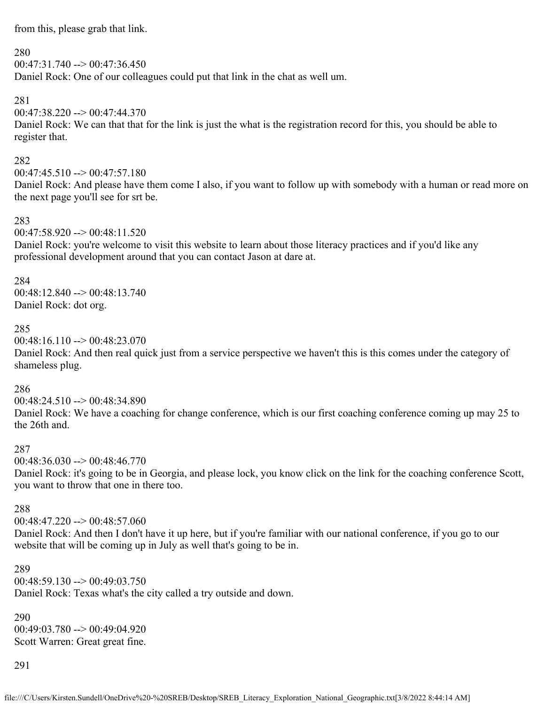from this, please grab that link.

#### 280

 $00:47:31.740 \rightarrow 00:47:36.450$ 

Daniel Rock: One of our colleagues could put that link in the chat as well um.

### 281

 $00:47:38.220 \rightarrow 00:47:44.370$ 

Daniel Rock: We can that that for the link is just the what is the registration record for this, you should be able to register that.

### 282

 $00:47:45.510 \rightarrow 00:47:57.180$ 

Daniel Rock: And please have them come I also, if you want to follow up with somebody with a human or read more on the next page you'll see for srt be.

### 283

 $00:47:58.920 \rightarrow 00:48:11.520$ 

Daniel Rock: you're welcome to visit this website to learn about those literacy practices and if you'd like any professional development around that you can contact Jason at dare at.

### 284

00:48:12.840 --> 00:48:13.740 Daniel Rock: dot org.

#### 285

 $00:48:16.110 \rightarrow 00:48:23.070$ 

Daniel Rock: And then real quick just from a service perspective we haven't this is this comes under the category of shameless plug.

### 286

 $00:48:24.510 \rightarrow 00:48:34.890$ 

Daniel Rock: We have a coaching for change conference, which is our first coaching conference coming up may 25 to the 26th and.

#### 287

 $00:48:36.030 \rightarrow 00:48:46.770$ 

Daniel Rock: it's going to be in Georgia, and please lock, you know click on the link for the coaching conference Scott, you want to throw that one in there too.

#### 288

 $00:48:47.220 \rightarrow 00:48:57.060$ 

Daniel Rock: And then I don't have it up here, but if you're familiar with our national conference, if you go to our website that will be coming up in July as well that's going to be in.

### 289  $00:48:59.130 \rightarrow 00:49:03.750$ Daniel Rock: Texas what's the city called a try outside and down.

290  $00:49:03.780 \rightarrow 00:49:04.920$ Scott Warren: Great great fine.